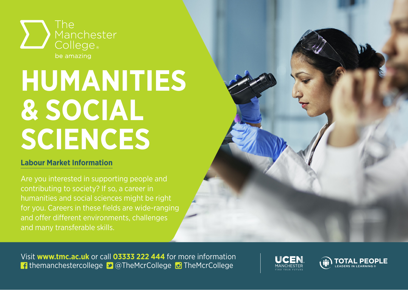

# **HUMANITIES & SOCIAL SCIENCES**

#### **Labour Market Information**

contributing to society? If so, a career in for you. Careers in these fields are wide-ranging

Visit **www.tmc.ac.uk** or call **03333 222 444** for more information **f** themanchestercollege **D** @TheMcrCollege **D** TheMcrCollege